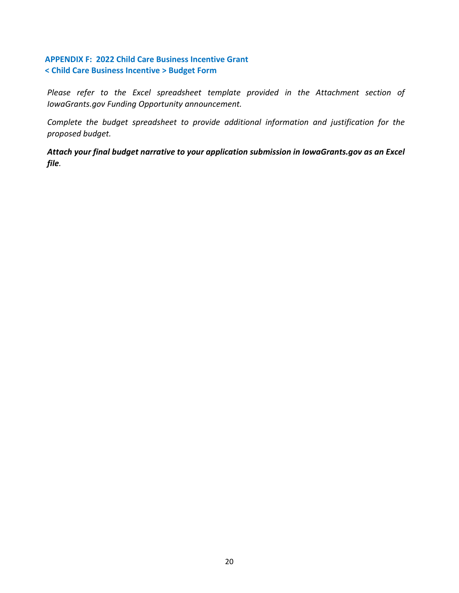## **APPENDIX F: 2022 Child Care Business Incentive Grant < Child Care Business Incentive > Budget Form**

Please refer to the Excel spreadsheet template provided in the Attachment section of *IowaGrants.gov Funding Opportunity announcement.*

*Complete the budget spreadsheet to provide additional information and justification for the proposed budget.* 

*Attach your final budget narrative to your application submission in IowaGrants.gov as an Excel file.*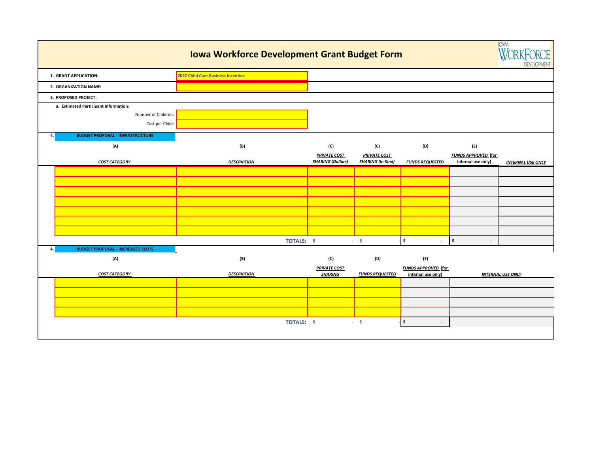|                |                                          | <b>Iowa Workforce Development Grant Budget Form</b> |                                                 |                                                 |                                | <b>IOWA</b><br>$W/\cap R$<br>DEVELOPMENT         |                          |
|----------------|------------------------------------------|-----------------------------------------------------|-------------------------------------------------|-------------------------------------------------|--------------------------------|--------------------------------------------------|--------------------------|
|                | 1. GRANT APPLICATION:                    | 2022 Child Care Business Incentive                  |                                                 |                                                 |                                |                                                  |                          |
|                | 2. ORGANIZATION NAME:                    |                                                     |                                                 |                                                 |                                |                                                  |                          |
|                | 3. PROPOSED PROJECT:                     |                                                     |                                                 |                                                 |                                |                                                  |                          |
|                | a. Estimated Participant Information:    |                                                     |                                                 |                                                 |                                |                                                  |                          |
|                | Number of Children:                      |                                                     |                                                 |                                                 |                                |                                                  |                          |
|                | Cost per Child:                          |                                                     |                                                 |                                                 |                                |                                                  |                          |
| $\mathbf{A}$ . | <b>BUDGET PROPOSAL - INFRASTRUCTURE</b>  |                                                     |                                                 |                                                 |                                |                                                  |                          |
|                | (A)                                      | (B)                                                 | (C)                                             | (C)                                             | (D)                            | (E)                                              |                          |
|                | <b>COST CATEGORY</b>                     | <b>DESCRIPTION</b>                                  | <b>PRIVATE COST</b><br><b>SHARING (Dollars)</b> | <b>PRIVATE COST</b><br><b>SHARING (In Kind)</b> | <b>FUNDS REQUESTED</b>         | <b>FUNDS APPROVED (for</b><br>internal use only) |                          |
|                |                                          |                                                     |                                                 |                                                 |                                |                                                  | <b>INTERNAL USE ONLY</b> |
|                |                                          |                                                     |                                                 |                                                 |                                |                                                  |                          |
|                |                                          |                                                     |                                                 |                                                 |                                |                                                  |                          |
|                |                                          |                                                     |                                                 |                                                 |                                |                                                  |                          |
|                |                                          |                                                     |                                                 |                                                 |                                |                                                  |                          |
|                |                                          |                                                     |                                                 |                                                 |                                |                                                  |                          |
|                |                                          |                                                     |                                                 |                                                 |                                |                                                  |                          |
|                |                                          | TOTALS: \$                                          |                                                 | $-5$                                            | \$                             | $\ddot{s}$<br>$\blacksquare$                     |                          |
| 4.             | <b>BUDGET PROPOSAL - INCREASED SLOTS</b> |                                                     |                                                 |                                                 |                                |                                                  |                          |
|                | (A)                                      | (B)                                                 | (C)                                             | (D)                                             | (E)                            |                                                  |                          |
|                |                                          |                                                     | <b>PRIVATE COST</b>                             |                                                 | <b>FUNDS APPROVED</b> (for     |                                                  |                          |
|                | <b>COST CATEGORY</b>                     | <b>DESCRIPTION</b>                                  | <b>SHARING</b>                                  | <b>FUNDS REQUESTED</b>                          | internal use only)             |                                                  | <b>INTERNAL USE ONLY</b> |
|                |                                          |                                                     |                                                 |                                                 |                                |                                                  |                          |
|                |                                          |                                                     |                                                 |                                                 |                                |                                                  |                          |
|                |                                          |                                                     |                                                 |                                                 |                                |                                                  |                          |
|                |                                          | TOTALS: \$                                          |                                                 | $-5$                                            | \$<br>$\overline{\phantom{a}}$ |                                                  |                          |
|                |                                          |                                                     |                                                 |                                                 |                                |                                                  |                          |
|                |                                          |                                                     |                                                 |                                                 |                                |                                                  |                          |